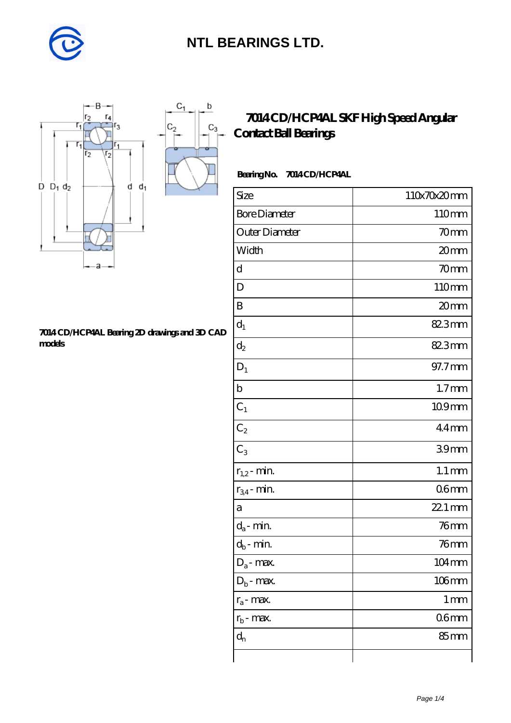

 $\mathbf b$ 

 $C_3$ 



#### **[7014 CD/HCP4AL Bearing 2D drawings and 3D CAD](https://diabetesfriends.net/pic-590834.html) [models](https://diabetesfriends.net/pic-590834.html)**

### **[7014 CD/HCP4AL SKF High Speed Angular](https://diabetesfriends.net/skf-bearing/7014-cd-hcp4al.html) [Contact Ball Bearings](https://diabetesfriends.net/skf-bearing/7014-cd-hcp4al.html)**

### **Bearing No. 7014 CD/HCP4AL**

| Size                       | 110x70x20mm        |
|----------------------------|--------------------|
| <b>Bore Diameter</b>       | 110mm              |
| Outer Diameter             | 70mm               |
| Width                      | 20mm               |
| d                          | 70mm               |
| D                          | 110mm              |
| B                          | 20mm               |
| $d_1$                      | 82.3mm             |
| $d_2$                      | 82.3mm             |
| $D_1$                      | 97.7mm             |
| $\mathbf b$                | 1.7 <sub>mm</sub>  |
| $C_1$                      | 109mm              |
| $C_2$                      | $44$ mm            |
| $\overline{C_3}$           | 39mm               |
| $r_{1,2}$ - min.           | $1.1 \, \text{mm}$ |
| $r_{34}$ - min.            | 06 <sub>mm</sub>   |
| a                          | 22.1 mm            |
| $d_a$ - min.               | $76$ mm            |
| $d_b\operatorname{-} \min$ | $76$ mm            |
| $D_a$ - max.               | 104mm              |
| $D_b$ - max.               | $106$ mm           |
| $r_a$ - max.               | $1 \,\mathrm{mm}$  |
| $r_{b}$ - max.             | 06 <sub>mm</sub>   |
| $d_n$                      | 85 mm              |
|                            |                    |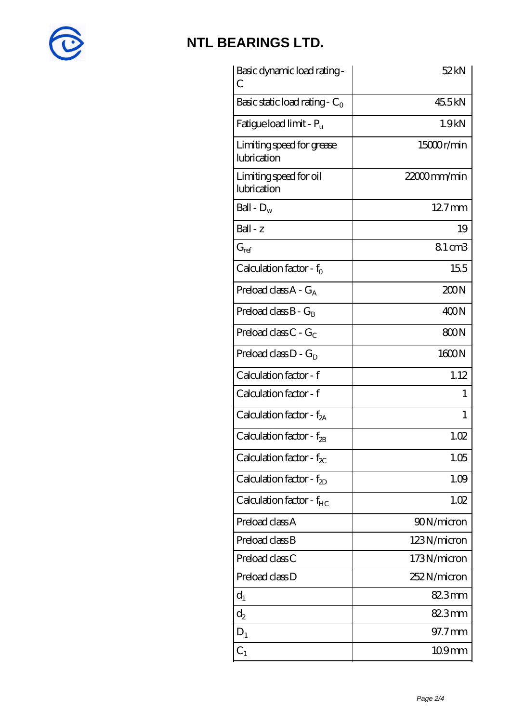

| Basic dynamic load rating -<br>С         | 52kN              |
|------------------------------------------|-------------------|
| Basic static load rating - $C_0$         | 45.5kN            |
| Fatigue load limit - $P_{\rm u}$         | 1.9 <sub>kN</sub> |
| Limiting speed for grease<br>lubrication | 15000r/min        |
| Limiting speed for oil<br>lubrication    | 22000mm/min       |
| Ball - $D_w$                             | $127$ mm          |
| $Ball - z$                               | 19                |
| $G_{ref}$                                | 81cm3             |
| Calculation factor - $f_0$               | 155               |
| Preload class $A - G_A$                  | 200N              |
| Preload class $B - G_B$                  | 400N              |
| Preload class $C - G_C$                  | 800N              |
| Preload class $D - G_D$                  | 1600N             |
| Calculation factor - f                   | 1.12              |
| Calculation factor - f                   | 1                 |
| Calculation factor - f <sub>2A</sub>     | 1                 |
| Calculation factor - $f_{2B}$            | 1.02              |
| Calculation factor - $f_{\chi}$          | 1.05              |
| Calculation factor - $f_{2D}$            | 1.09              |
| Calculation factor - $f_{HC}$            | 1.02              |
| Preload class A                          | 90N/micron        |
| Preload class B                          | 123N/micron       |
| Preload class C                          | 173N/micron       |
| Preload class D                          | 252N/micron       |
| $d_1$                                    | 82.3mm            |
| $\mathrm{d}_2$                           | 82.3mm            |
| $D_1$                                    | 97.7 mm           |
| $\mathrm{C}_1$                           | $109$ mm          |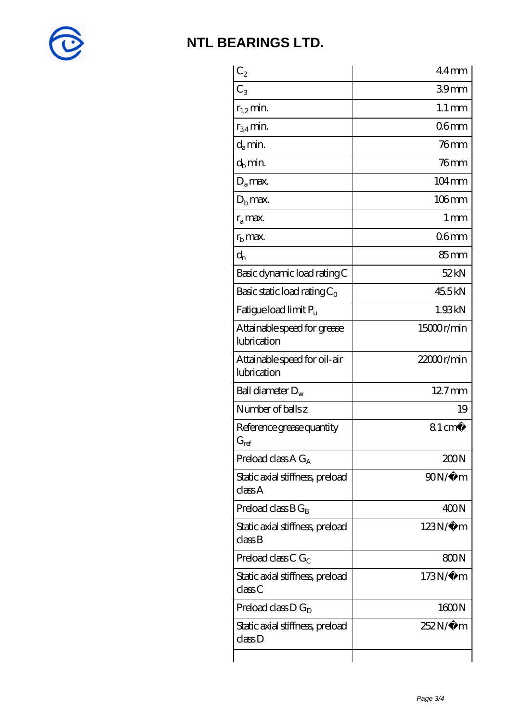

| $C_2$                                       | $44$ mm             |
|---------------------------------------------|---------------------|
| $C_3$                                       | 39 <sub>mm</sub>    |
| $r_{1,2}$ min.                              | $1.1 \,\mathrm{mm}$ |
| $r_{34}$ min.                               | 06 <sub>mm</sub>    |
| $d_{a}$ min.                                | $76$ mm             |
| $d_h$ min.                                  | $76$ mm             |
| $D_a$ max.                                  | $104 \,\mathrm{mm}$ |
| $Db$ max.                                   | $106$ mm            |
| $r_a$ max.                                  | $1 \,\mathrm{mm}$   |
| $rb$ max.                                   | 06 <sub>mm</sub>    |
| $d_{n}$                                     | 85mm                |
| Basic dynamic load rating C                 | 52kN                |
| Basic static load rating $C_0$              | 45.5kN              |
| Fatigue load limit Pu                       | 1.93kN              |
| Attainable speed for grease<br>lubrication  | 15000r/min          |
| Attainable speed for oil-air<br>lubrication | $22000$ r/min       |
| Ball diameter $D_w$                         | $127$ mm            |
| Number of balls z                           | 19                  |
| Reference grease quantity<br>$G_{ref}$      | $81 \text{ cm}^3$   |
| Preload class $A G_A$                       | 200N                |
| Static axial stiffness, preload<br>classA   | $90N/\mu$ m         |
| Preload class $BG_B$                        | 400N                |
| Static axial stiffness, preload<br>classB   | $123N/\mu$ m        |
| Preload class C $G_C$                       | 800N                |
| Static axial stiffness, preload<br>classC   | $173N/\mu$ m        |
| Preload class D $G_D$                       | 1600N               |
| Static axial stiffness, preload<br>classD   | 252N/µ m            |
|                                             |                     |